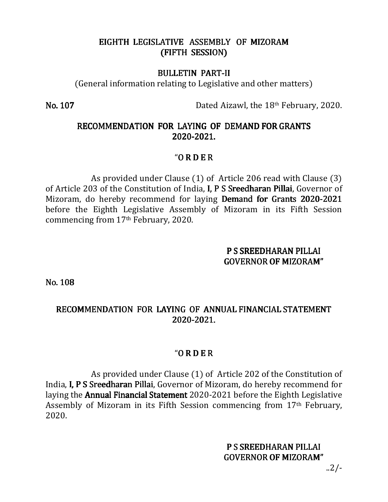# EIGHTH LEGISLATIVE ASSEMBLY OF MIZORAM (FIFTH SESSION)

#### **BULLETIN PART-II**

(General information relating to Legislative and other matters)

**No. 107 Dated Aizawl, the 18<sup>th</sup> February, 2020.** 

# RECOMMENDATION FOR LAYING OF DEMAND FOR GRANTS 2020-2021.

# $'$ O R D E R

 As provided under Clause (1) of Article 206 read with Clause (3) of Article 203 of the Constitution of India, I, P S Sreedharan Pillai, Governor of Mizoram, do hereby recommend for laying Demand for Grants 2020-2021 before the Eighth Legislative Assembly of Mizoram in its Fifth Session commencing from 17th February, 2020.

### PS SREEDHARAN PILLAI GOVERNOR OF MIZORAM"

No. 108

# RECOMMENDATION FOR LAYING OF ANNUAL FINANCIAL STATEMENT 2020-2021.

# $'ORDER$

As provided under Clause (1) of Article 202 of the Constitution of India, I, P S Sreedharan Pillai, Governor of Mizoram, do hereby recommend for laying the Annual Financial Statement 2020-2021 before the Eighth Legislative Assembly of Mizoram in its Fifth Session commencing from 17th February, 2020.

# P S SREEDHARAN PILLAI GOVERNOR OF MIZORAM"

..2/-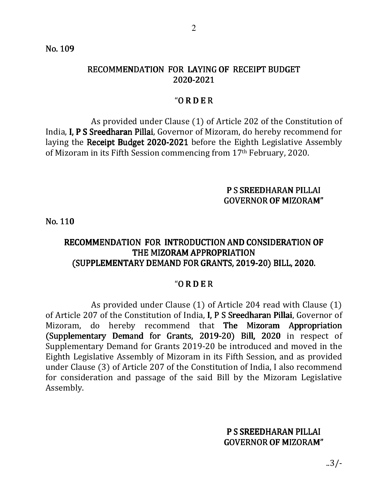No. 109

# RECOMMENDATION FOR LAYING OF RECEIPT BUDGET 2020-2021

### $'ORDER$

 As provided under Clause (1) of Article 202 of the Constitution of India, I, P S Sreedharan Pillai, Governor of Mizoram, do hereby recommend for laying the Receipt Budget 2020-2021 before the Eighth Legislative Assembly of Mizoram in its Fifth Session commencing from 17th February, 2020.

## P S SREEDHARAN PILLAI GOVERNOR OF MIZORAM"

No. 110

# RECOMMENDATION FOR INTRODUCTION AND CONSIDERATION OF THE MIZORAM APPROPRIATION (SUPPLEMENTARY DEMAND FOR GRANTS, 2019-20) BILL, 2020.

#### $'ORDER$

 As provided under Clause (1) of Article 204 read with Clause (1) of Article 207 of the Constitution of India, I, P S Sreedharan Pillai, Governor of Mizoram, do hereby recommend that The Mizoram Appropriation (Supplementary Demand for Grants, 2019-20) Bill, 2020 in respect of Supplementary Demand for Grants 2019-20 be introduced and moved in the Eighth Legislative Assembly of Mizoram in its Fifth Session, and as provided under Clause (3) of Article 207 of the Constitution of India, I also recommend for consideration and passage of the said Bill by the Mizoram Legislative Assembly.

# P S SREEDHARAN PILLAI GOVERNOR OF MIZORAM"

..3/-